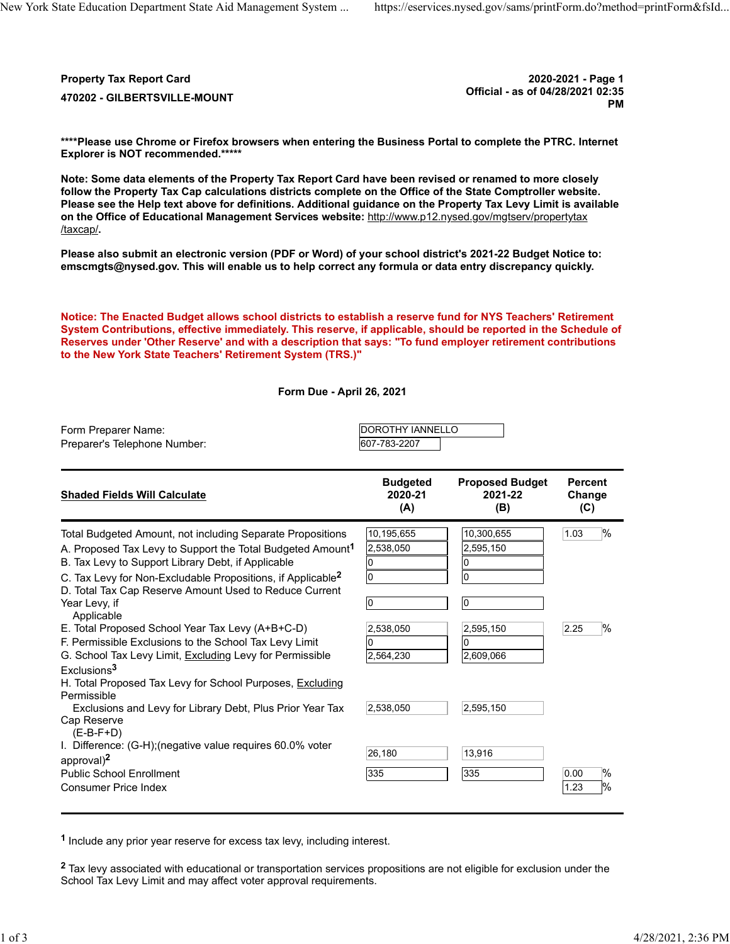Property Tax Report Card 2020-2021 - Page 1

Official - as of 04/28/2021 02:35 <sup>470202</sup> - GILBERTSVILLE-MOUNT PM

 \*\*\*\*Please use Chrome or Firefox browsers when entering the Business Portal to complete the PTRC. Internet Explorer is NOT recommended.\*\*\*\*\*

 Note: Some data elements of the Property Tax Report Card have been revised or renamed to more closely follow the Property Tax Cap calculations districts complete on the Office of the State Comptroller website. Please see the Help text above for definitions. Additional guidance on the Property Tax Levy Limit is available on the Office of Educational Management Services website: <http://www.p12.nysed.gov/mgtserv/propertytax> /taxcap/.

 Please also submit an electronic version (PDF or Word) of your school district's 2021-22 Budget Notice to: [emscmgts@nysed.gov.](mailto:emscmgts@nysed.gov) This will enable us to help correct any formula or data entry discrepancy quickly.

 Notice: The Enacted Budget allows school districts to establish a reserve fund for NYS Teachers' Retirement System Contributions, effective immediately. This reserve, if applicable, should be reported in the Schedule of Reserves under 'Other Reserve' and with a description that says: "To fund employer retirement contributions to the New York State Teachers' Retirement System (TRS.)"

Form Due - April 26, 2021

| Form Preparer Name:          | <b>IDOROTHY IANNELLO</b> |  |
|------------------------------|--------------------------|--|
| Preparer's Telephone Number: | 607-783-2207             |  |

| <b>Shaded Fields Will Calculate</b>                                                                                                                                                                                                                                                                                             | <b>Budgeted</b><br>2020-21<br>(A) | <b>Proposed Budget</b><br>2021-22<br>(B) | <b>Percent</b><br>Change<br>(C) |
|---------------------------------------------------------------------------------------------------------------------------------------------------------------------------------------------------------------------------------------------------------------------------------------------------------------------------------|-----------------------------------|------------------------------------------|---------------------------------|
| Total Budgeted Amount, not including Separate Propositions<br>A. Proposed Tax Levy to Support the Total Budgeted Amount <sup>1</sup><br>B. Tax Levy to Support Library Debt, if Applicable<br>C. Tax Levy for Non-Excludable Propositions, if Applicable <sup>2</sup><br>D. Total Tax Cap Reserve Amount Used to Reduce Current | 10,195,655<br>2,538,050<br>l0     | 10,300,655<br>2,595,150<br>0             | $\%$<br>1.03                    |
| Year Levy, if<br>Applicable<br>E. Total Proposed School Year Tax Levy (A+B+C-D)                                                                                                                                                                                                                                                 | l0<br>2,538,050                   | 0<br>2,595,150                           | $\frac{9}{6}$<br>2.25           |
| F. Permissible Exclusions to the School Tax Levy Limit<br>G. School Tax Levy Limit, Excluding Levy for Permissible                                                                                                                                                                                                              | 2,564,230                         | 2,609,066                                |                                 |
| Exclusions <sup>3</sup><br>H. Total Proposed Tax Levy for School Purposes, Excluding<br>Permissible                                                                                                                                                                                                                             |                                   |                                          |                                 |
| Exclusions and Levy for Library Debt, Plus Prior Year Tax<br>Cap Reserve<br>$(E-B-F+D)$                                                                                                                                                                                                                                         | 2,538,050                         | 2,595,150                                |                                 |
| I. Difference: (G-H); (negative value requires 60.0% voter<br>approval) <sup>2</sup>                                                                                                                                                                                                                                            | 26,180                            | 13,916                                   |                                 |
| <b>Public School Enrollment</b><br><b>Consumer Price Index</b>                                                                                                                                                                                                                                                                  | 335                               | 335                                      | $\%$<br>0.00<br>$\%$<br>1.23    |

<sup>1</sup> Include any prior year reserve for excess tax levy, including interest.

 $^{\sf 2}$  Tax levy associated with educational or transportation services propositions are not eligible for exclusion under the School Tax Levy Limit and may affect voter approval requirements.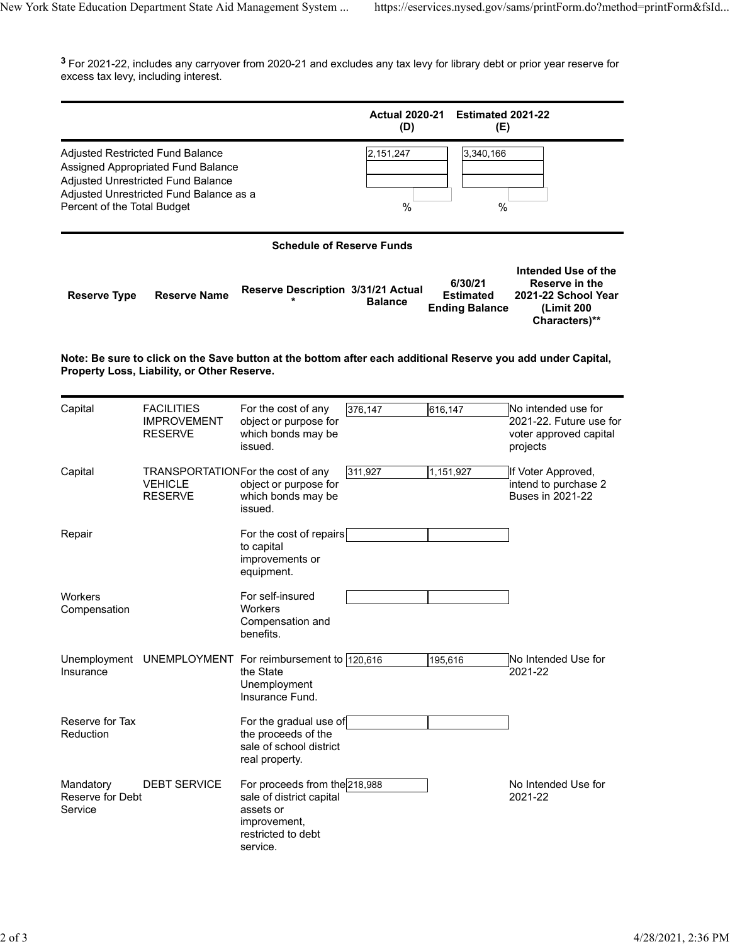$^{\textbf{3}}$  For 2021-22, includes any carryover from 2020-21 and excludes any tax levy for library debt or prior year reserve for excess tax levy, including interest.

|                                          |                                                                                                                                                                |                                                                                                                          | <b>Actual 2020-21</b><br>(D) | Estimated 2021-22<br>(E)                             |                                                                                             |
|------------------------------------------|----------------------------------------------------------------------------------------------------------------------------------------------------------------|--------------------------------------------------------------------------------------------------------------------------|------------------------------|------------------------------------------------------|---------------------------------------------------------------------------------------------|
| Percent of the Total Budget              | Adjusted Restricted Fund Balance<br>Assigned Appropriated Fund Balance<br><b>Adjusted Unrestricted Fund Balance</b><br>Adjusted Unrestricted Fund Balance as a |                                                                                                                          | 2,151,247<br>$\%$            | 3,340,166<br>%                                       |                                                                                             |
|                                          |                                                                                                                                                                | <b>Schedule of Reserve Funds</b>                                                                                         |                              |                                                      |                                                                                             |
| <b>Reserve Type</b>                      | <b>Reserve Name</b>                                                                                                                                            | Reserve Description 3/31/21 Actual                                                                                       | <b>Balance</b>               | 6/30/21<br><b>Estimated</b><br><b>Ending Balance</b> | Intended Use of the<br>Reserve in the<br>2021-22 School Year<br>(Limit 200<br>Characters)** |
|                                          | Property Loss, Liability, or Other Reserve.                                                                                                                    | Note: Be sure to click on the Save button at the bottom after each additional Reserve you add under Capital,             |                              |                                                      |                                                                                             |
| Capital                                  | <b>FACILITIES</b><br><b>IMPROVEMENT</b><br><b>RESERVE</b>                                                                                                      | For the cost of any<br>object or purpose for<br>which bonds may be<br>issued.                                            | 376,147                      | 616,147                                              | No intended use for<br>2021-22. Future use for<br>voter approved capital<br>projects        |
| Capital                                  | TRANSPORTATIONFor the cost of any<br><b>VEHICLE</b><br><b>RESERVE</b>                                                                                          | object or purpose for<br>which bonds may be<br>issued.                                                                   | 311,927                      | 1,151,927                                            | If Voter Approved,<br>intend to purchase 2<br><b>Buses in 2021-22</b>                       |
| Repair                                   |                                                                                                                                                                | For the cost of repairs<br>to capital<br>improvements or<br>equipment.                                                   |                              |                                                      |                                                                                             |
| Workers<br>Compensation                  |                                                                                                                                                                | For self-insured<br>Workers<br>Compensation and<br>benefits.                                                             |                              |                                                      |                                                                                             |
| Insurance                                |                                                                                                                                                                | Unemployment UNEMPLOYMENT For reimbursement to 120,616<br>the State<br>Unemployment<br>Insurance Fund.                   |                              | 195,616                                              | No Intended Use for<br>2021-22                                                              |
| Reserve for Tax<br>Reduction             |                                                                                                                                                                | For the gradual use of<br>the proceeds of the<br>sale of school district<br>real property.                               |                              |                                                      |                                                                                             |
| Mandatory<br>Reserve for Debt<br>Service | <b>DEBT SERVICE</b>                                                                                                                                            | For proceeds from the 218,988<br>sale of district capital<br>assets or<br>improvement,<br>restricted to debt<br>service. |                              |                                                      | No Intended Use for<br>2021-22                                                              |